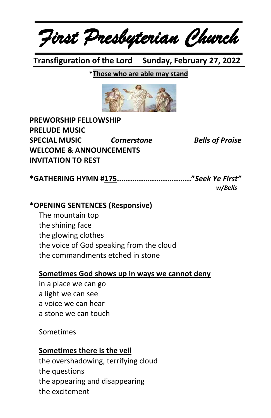*First Presbyterian Church*

 **Transfiguration of the Lord Sunday, February 27, 2022**

#### **\*Those who are able may stand**



| <b>PREWORSHIP FELLOWSHIP</b>       |                    |                        |
|------------------------------------|--------------------|------------------------|
| <b>PRELUDE MUSIC</b>               |                    |                        |
| <b>SPECIAL MUSIC</b>               | <b>Cornerstone</b> | <b>Bells of Praise</b> |
| <b>WELCOME &amp; ANNOUNCEMENTS</b> |                    |                        |
| <b>INVITATION TO REST</b>          |                    |                        |

**\*GATHERING HYMN #175.................................."***Seek Ye First" w/Bells*

#### **\*OPENING SENTENCES (Responsive)**

The mountain top the shining face the glowing clothes the voice of God speaking from the cloud the commandments etched in stone

#### **Sometimes God shows up in ways we cannot deny**

in a place we can go a light we can see a voice we can hear a stone we can touch

#### Sometimes

#### **Sometimes there is the veil**

the overshadowing, terrifying cloud the questions the appearing and disappearing the excitement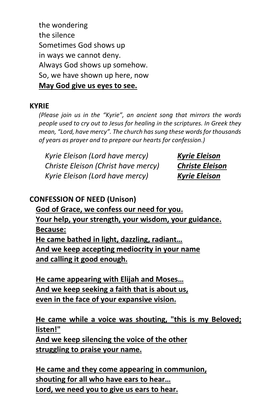the wondering the silence Sometimes God shows up in ways we cannot deny. Always God shows up somehow. So, we have shown up here, now **May God give us eyes to see.**

#### **KYRIE**

*(Please join us in the "Kyrie", an ancient song that mirrors the words people used to cry out to Jesus for healing in the scriptures. In Greek they mean, "Lord, have mercy". The church has sung these words for thousands of years as prayer and to prepare our hearts for confession.)*

*Kyrie Eleison (Lord have mercy) Kyrie Eleison Christe Eleison (Christ have mercy) Christe Eleison Kyrie Eleison (Lord have mercy) Kyrie Eleison*

### **CONFESSION OF NEED (Unison)**

**God of Grace, we confess our need for you. Your help, your strength, your wisdom, your guidance. Because: He came bathed in light, dazzling, radiant… And we keep accepting mediocrity in your name and calling it good enough.**

**He came appearing with Elijah and Moses… And we keep seeking a faith that is about us, even in the face of your expansive vision.**

### **He came while a voice was shouting, "this is my Beloved; listen!"**

**And we keep silencing the voice of the other struggling to praise your name.**

**He came and they come appearing in communion, shouting for all who have ears to hear… Lord, we need you to give us ears to hear.**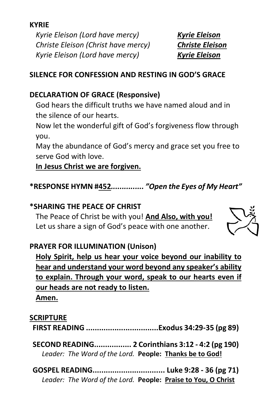**KYRIE**

*Kyrie Eleison (Lord have mercy) Kyrie Eleison Christe Eleison (Christ have mercy) Christe Eleison Kyrie Eleison (Lord have mercy) Kyrie Eleison*

### **SILENCE FOR CONFESSION AND RESTING IN GOD'S GRACE**

## **DECLARATION OF GRACE (Responsive)**

God hears the difficult truths we have named aloud and in the silence of our hearts.

Now let the wonderful gift of God's forgiveness flow through you.

May the abundance of God's mercy and grace set you free to serve God with love.

### **In Jesus Christ we are forgiven.**

**\*RESPONSE HYMN #452***............... "Open the Eyes of My Heart"*

# **\*SHARING THE PEACE OF CHRIST**

The Peace of Christ be with you! **And Also, with you!** Let us share a sign of God's peace with one another.



# **PRAYER FOR ILLUMINATION (Unison)**

**Holy Spirit, help us hear your voice beyond our inability to hear and understand your word beyond any speaker's ability to explain. Through your word, speak to our hearts even if our heads are not ready to listen. Amen.**

### **SCRIPTURE**

**FIRST READING .................................Exodus 34:29-35 (pg 89)**

**SECOND READING................. 2 Corinthians 3:12 - 4:2 (pg 190)** *Leader: The Word of the Lord.* **People: Thanks be to God!**

**GOSPEL READING................................. Luke 9:28 - 36 (pg 71)** *Leader: The Word of the Lord.* **People: Praise to You, O Christ**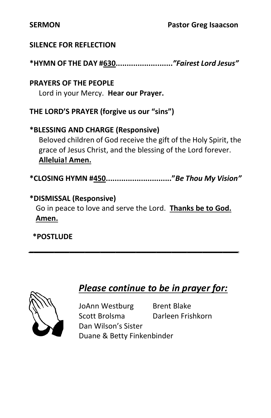#### **SILENCE FOR REFLECTION**

**\*HYMN OF THE DAY #630..........................***"Fairest Lord Jesus"*

**PRAYERS OF THE PEOPLE** Lord in your Mercy. **Hear our Prayer.**

**THE LORD'S PRAYER (forgive us our "sins")**

**\*BLESSING AND CHARGE (Responsive)**  Beloved children of God receive the gift of the Holy Spirit, the grace of Jesus Christ, and the blessing of the Lord forever. **Alleluia! Amen.**

**\*CLOSING HYMN #450.............................."***Be Thou My Vision"*

### **\*DISMISSAL (Responsive)**

Go in peace to love and serve the Lord. **Thanks be to God. Amen.**

*\_\_\_\_\_\_\_\_\_\_\_\_\_\_\_\_\_\_\_\_\_\_\_\_\_\_\_\_\_\_\_\_\_\_\_\_\_\_\_\_\_*

**\*POSTLUDE**



# *Please continue to be in prayer for:*

JoAnn Westburg Brent Blake Scott Brolsma Darleen Frishkorn Dan Wilson's Sister Duane & Betty Finkenbinder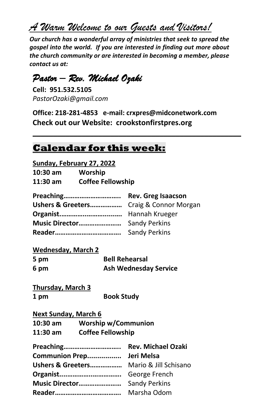*A Warm Welcome to our Guests and Visitors!*

*Our church has a wonderful array of ministries that seek to spread the gospel into the world. If you are interested in finding out more about the church community or are interested in becoming a member, please contact us at:*

# *Pastor – Rev. Michael Ozaki*

**Cell: 951.532.5105** *PastorOzaki@gmail.com*

**Office: 218-281-4853 e-mail: crxpres@midconetwork.com Check out our Website: crookstonfirstpres.org**

 $\mathcal{L} = \{ \mathcal{L} \mid \mathcal{L} \in \mathcal{L} \}$ 

### **Calendar for this week:**

**Sunday, February 27, 2022**

| 10:30 am | Worship                  |
|----------|--------------------------|
| 11:30 am | <b>Coffee Fellowship</b> |

| Preaching Rev. Greg Isaacson            |  |
|-----------------------------------------|--|
| Ushers & Greeters Craig & Connor Morgan |  |
|                                         |  |
|                                         |  |
|                                         |  |

#### **Wednesday, March 2**

| 5 pm | <b>Bell Rehearsal</b>        |
|------|------------------------------|
| 6 pm | <b>Ash Wednesday Service</b> |

**Thursday, March 3 1 pm Book Study**

#### **Next Sunday, March 6**

| $10:30$ am | <b>Worship w/Communion</b> |
|------------|----------------------------|
| 11:30 am   | <b>Coffee Fellowship</b>   |

| Communion Prep Jeri Melsa               |             |
|-----------------------------------------|-------------|
| Ushers & Greeters Mario & Jill Schisano |             |
|                                         |             |
|                                         |             |
|                                         | Marsha Odom |